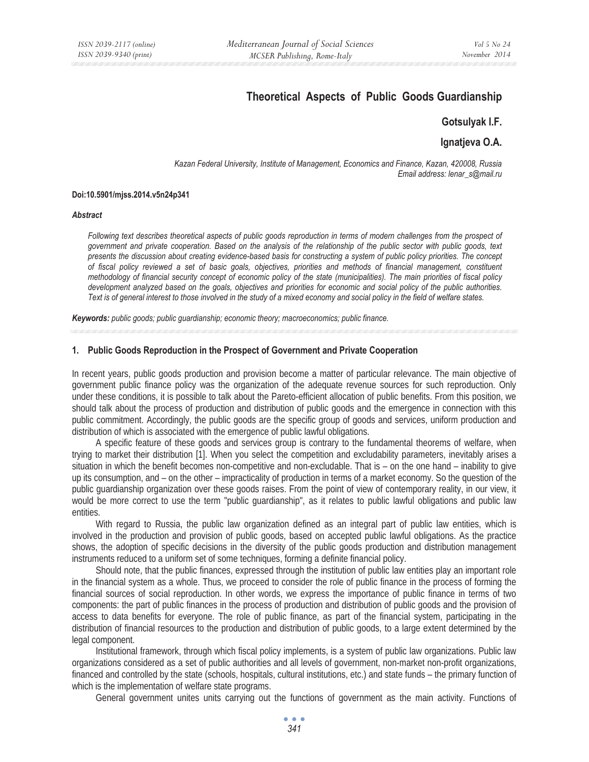# **Theoretical Aspects of Public Goods Guardianship**

## **Gotsulyak I.F.**

## **Ignatjeva O.A.**

*Kazan Federal University, Institute of Management, Economics and Finance, Kazan, 420008, Russia Email address: lenar\_s@mail.ru* 

#### **Doi:10.5901/mjss.2014.v5n24p341**

#### *Abstract*

*Following text describes theoretical aspects of public goods reproduction in terms of modern challenges from the prospect of government and private cooperation. Based on the analysis of the relationship of the public sector with public goods, text presents the discussion about creating evidence-based basis for constructing a system of public policy priorities. The concept of fiscal policy reviewed a set of basic goals, objectives, priorities and methods of financial management, constituent methodology of financial security concept of economic policy of the state (municipalities). The main priorities of fiscal policy development analyzed based on the goals, objectives and priorities for economic and social policy of the public authorities. Text is of general interest to those involved in the study of a mixed economy and social policy in the field of welfare states.*

*Keywords: public goods; public guardianship; economic theory; macroeconomics; public finance.*

### **1. Public Goods Reproduction in the Prospect of Government and Private Cooperation**

In recent years, public goods production and provision become a matter of particular relevance. The main objective of government public finance policy was the organization of the adequate revenue sources for such reproduction. Only under these conditions, it is possible to talk about the Pareto-efficient allocation of public benefits. From this position, we should talk about the process of production and distribution of public goods and the emergence in connection with this public commitment. Accordingly, the public goods are the specific group of goods and services, uniform production and distribution of which is associated with the emergence of public lawful obligations.

A specific feature of these goods and services group is contrary to the fundamental theorems of welfare, when trying to market their distribution [1]. When you select the competition and excludability parameters, inevitably arises a situation in which the benefit becomes non-competitive and non-excludable. That is – on the one hand – inability to give up its consumption, and – on the other – impracticality of production in terms of a market economy. So the question of the public guardianship organization over these goods raises. From the point of view of contemporary reality, in our view, it would be more correct to use the term "public guardianship", as it relates to public lawful obligations and public law entities.

With regard to Russia, the public law organization defined as an integral part of public law entities, which is involved in the production and provision of public goods, based on accepted public lawful obligations. As the practice shows, the adoption of specific decisions in the diversity of the public goods production and distribution management instruments reduced to a uniform set of some techniques, forming a definite financial policy.

Should note, that the public finances, expressed through the institution of public law entities play an important role in the financial system as a whole. Thus, we proceed to consider the role of public finance in the process of forming the financial sources of social reproduction. In other words, we express the importance of public finance in terms of two components: the part of public finances in the process of production and distribution of public goods and the provision of access to data benefits for everyone. The role of public finance, as part of the financial system, participating in the distribution of financial resources to the production and distribution of public goods, to a large extent determined by the legal component.

Institutional framework, through which fiscal policy implements, is a system of public law organizations. Public law organizations considered as a set of public authorities and all levels of government, non-market non-profit organizations, financed and controlled by the state (schools, hospitals, cultural institutions, etc.) and state funds – the primary function of which is the implementation of welfare state programs.

General government unites units carrying out the functions of government as the main activity. Functions of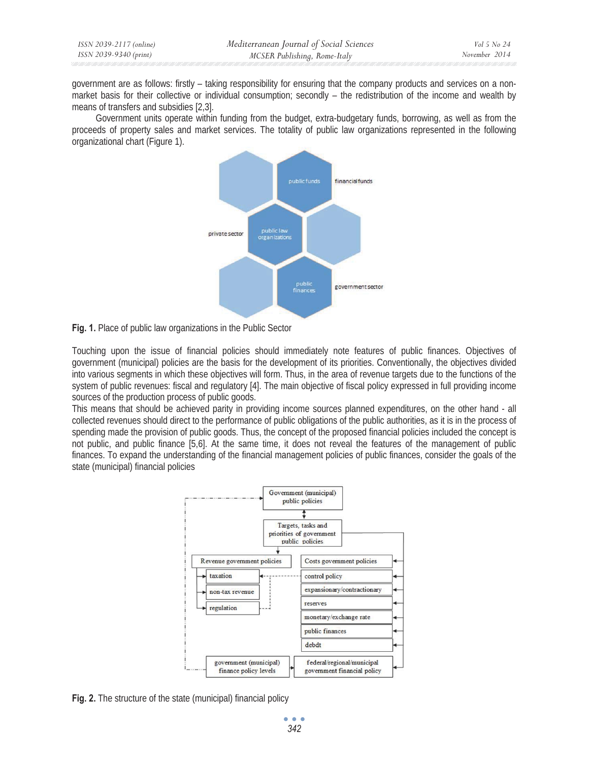government are as follows: firstly – taking responsibility for ensuring that the company products and services on a nonmarket basis for their collective or individual consumption; secondly – the redistribution of the income and wealth by means of transfers and subsidies [2,3].

Government units operate within funding from the budget, extra-budgetary funds, borrowing, as well as from the proceeds of property sales and market services. The totality of public law organizations represented in the following organizational chart (Figure 1).



**Fig. 1.** Place of public law organizations in the Public Sector

Touching upon the issue of financial policies should immediately note features of public finances. Objectives of government (municipal) policies are the basis for the development of its priorities. Conventionally, the objectives divided into various segments in which these objectives will form. Thus, in the area of revenue targets due to the functions of the system of public revenues: fiscal and regulatory [4]. The main objective of fiscal policy expressed in full providing income sources of the production process of public goods.

This means that should be achieved parity in providing income sources planned expenditures, on the other hand - all collected revenues should direct to the performance of public obligations of the public authorities, as it is in the process of spending made the provision of public goods. Thus, the concept of the proposed financial policies included the concept is not public, and public finance [5,6]. At the same time, it does not reveal the features of the management of public finances. To expand the understanding of the financial management policies of public finances, consider the goals of the state (municipal) financial policies



**Fig. 2.** The structure of the state (municipal) financial policy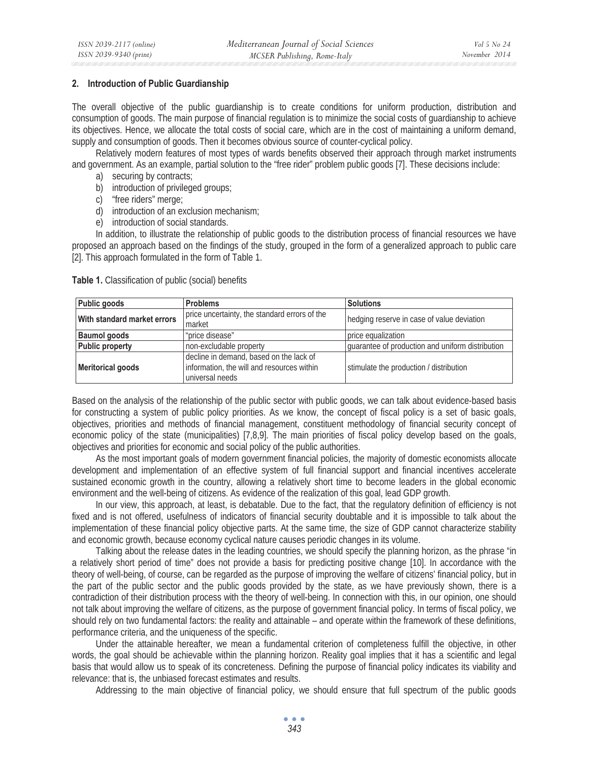### **2. Introduction of Public Guardianship**

The overall objective of the public guardianship is to create conditions for uniform production, distribution and consumption of goods. The main purpose of financial regulation is to minimize the social costs of guardianship to achieve its objectives. Hence, we allocate the total costs of social care, which are in the cost of maintaining a uniform demand, supply and consumption of goods. Then it becomes obvious source of counter-cyclical policy.

Relatively modern features of most types of wards benefits observed their approach through market instruments and government. As an example, partial solution to the "free rider" problem public goods [7]. These decisions include:

- a) securing by contracts;
- b) introduction of privileged groups;
- c) "free riders" merge;
- d) introduction of an exclusion mechanism;
- e) introduction of social standards.

In addition, to illustrate the relationship of public goods to the distribution process of financial resources we have proposed an approach based on the findings of the study, grouped in the form of a generalized approach to public care [2]. This approach formulated in the form of Table 1.

| Table 1. Classification of public (social) benefits |  |  |
|-----------------------------------------------------|--|--|
|                                                     |  |  |

| <b>Public goods</b>         | <b>Problems</b>                                                                                          | <b>Solutions</b>                                 |
|-----------------------------|----------------------------------------------------------------------------------------------------------|--------------------------------------------------|
| With standard market errors | price uncertainty, the standard errors of the<br>market                                                  | hedging reserve in case of value deviation       |
| <b>Baumol goods</b>         | "price disease"                                                                                          | price equalization                               |
| <b>Public property</b>      | non-excludable property                                                                                  | guarantee of production and uniform distribution |
| <b>Meritorical goods</b>    | decline in demand, based on the lack of<br>information, the will and resources within<br>universal needs | stimulate the production / distribution          |

Based on the analysis of the relationship of the public sector with public goods, we can talk about evidence-based basis for constructing a system of public policy priorities. As we know, the concept of fiscal policy is a set of basic goals, objectives, priorities and methods of financial management, constituent methodology of financial security concept of economic policy of the state (municipalities) [7,8,9]. The main priorities of fiscal policy develop based on the goals, objectives and priorities for economic and social policy of the public authorities.

As the most important goals of modern government financial policies, the majority of domestic economists allocate development and implementation of an effective system of full financial support and financial incentives accelerate sustained economic growth in the country, allowing a relatively short time to become leaders in the global economic environment and the well-being of citizens. As evidence of the realization of this goal, lead GDP growth.

In our view, this approach, at least, is debatable. Due to the fact, that the regulatory definition of efficiency is not fixed and is not offered, usefulness of indicators of financial security doubtable and it is impossible to talk about the implementation of these financial policy objective parts. At the same time, the size of GDP cannot characterize stability and economic growth, because economy cyclical nature causes periodic changes in its volume.

Talking about the release dates in the leading countries, we should specify the planning horizon, as the phrase "in a relatively short period of time" does not provide a basis for predicting positive change [10]. In accordance with the theory of well-being, of course, can be regarded as the purpose of improving the welfare of citizens' financial policy, but in the part of the public sector and the public goods provided by the state, as we have previously shown, there is a contradiction of their distribution process with the theory of well-being. In connection with this, in our opinion, one should not talk about improving the welfare of citizens, as the purpose of government financial policy. In terms of fiscal policy, we should rely on two fundamental factors: the reality and attainable – and operate within the framework of these definitions, performance criteria, and the uniqueness of the specific.

Under the attainable hereafter, we mean a fundamental criterion of completeness fulfill the objective, in other words, the goal should be achievable within the planning horizon. Reality goal implies that it has a scientific and legal basis that would allow us to speak of its concreteness. Defining the purpose of financial policy indicates its viability and relevance: that is, the unbiased forecast estimates and results.

Addressing to the main objective of financial policy, we should ensure that full spectrum of the public goods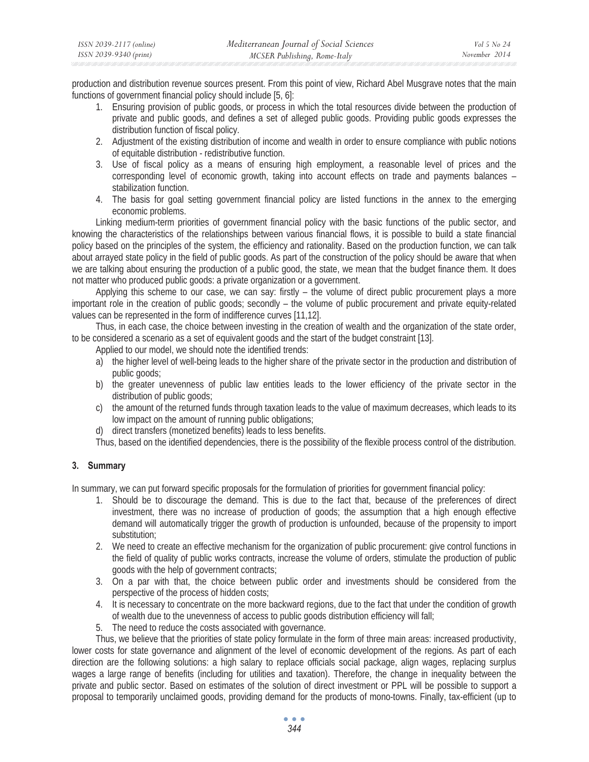| ISSN 2039-2117 (online) | Mediterranean Journal of Social Sciences | Vol 5 No 24   |
|-------------------------|------------------------------------------|---------------|
| ISSN 2039-9340 (print)  | MCSER Publishing, Rome-Italy             | November 2014 |

production and distribution revenue sources present. From this point of view, Richard Abel Musgrave notes that the main functions of government financial policy should include [5, 6]:

- 1. Ensuring provision of public goods, or process in which the total resources divide between the production of private and public goods, and defines a set of alleged public goods. Providing public goods expresses the distribution function of fiscal policy.
- 2. Adjustment of the existing distribution of income and wealth in order to ensure compliance with public notions of equitable distribution - redistributive function.
- 3. Use of fiscal policy as a means of ensuring high employment, a reasonable level of prices and the corresponding level of economic growth, taking into account effects on trade and payments balances – stabilization function.
- 4. The basis for goal setting government financial policy are listed functions in the annex to the emerging economic problems.

Linking medium-term priorities of government financial policy with the basic functions of the public sector, and knowing the characteristics of the relationships between various financial flows, it is possible to build a state financial policy based on the principles of the system, the efficiency and rationality. Based on the production function, we can talk about arrayed state policy in the field of public goods. As part of the construction of the policy should be aware that when we are talking about ensuring the production of a public good, the state, we mean that the budget finance them. It does not matter who produced public goods: a private organization or a government.

Applying this scheme to our case, we can say: firstly – the volume of direct public procurement plays a more important role in the creation of public goods; secondly – the volume of public procurement and private equity-related values can be represented in the form of indifference curves [11,12].

Thus, in each case, the choice between investing in the creation of wealth and the organization of the state order, to be considered a scenario as a set of equivalent goods and the start of the budget constraint [13].

Applied to our model, we should note the identified trends:

- a) the higher level of well-being leads to the higher share of the private sector in the production and distribution of public goods;
- b) the greater unevenness of public law entities leads to the lower efficiency of the private sector in the distribution of public goods;
- c) the amount of the returned funds through taxation leads to the value of maximum decreases, which leads to its low impact on the amount of running public obligations;
- d) direct transfers (monetized benefits) leads to less benefits.
- Thus, based on the identified dependencies, there is the possibility of the flexible process control of the distribution.

## **3. Summary**

In summary, we can put forward specific proposals for the formulation of priorities for government financial policy:

- 1. Should be to discourage the demand. This is due to the fact that, because of the preferences of direct investment, there was no increase of production of goods; the assumption that a high enough effective demand will automatically trigger the growth of production is unfounded, because of the propensity to import substitution;
- 2. We need to create an effective mechanism for the organization of public procurement: give control functions in the field of quality of public works contracts, increase the volume of orders, stimulate the production of public goods with the help of government contracts;
- 3. On a par with that, the choice between public order and investments should be considered from the perspective of the process of hidden costs;
- 4. It is necessary to concentrate on the more backward regions, due to the fact that under the condition of growth of wealth due to the unevenness of access to public goods distribution efficiency will fall;
- 5. The need to reduce the costs associated with governance.

Thus, we believe that the priorities of state policy formulate in the form of three main areas: increased productivity, lower costs for state governance and alignment of the level of economic development of the regions. As part of each direction are the following solutions: a high salary to replace officials social package, align wages, replacing surplus wages a large range of benefits (including for utilities and taxation). Therefore, the change in inequality between the private and public sector. Based on estimates of the solution of direct investment or PPL will be possible to support a proposal to temporarily unclaimed goods, providing demand for the products of mono-towns. Finally, tax-efficient (up to